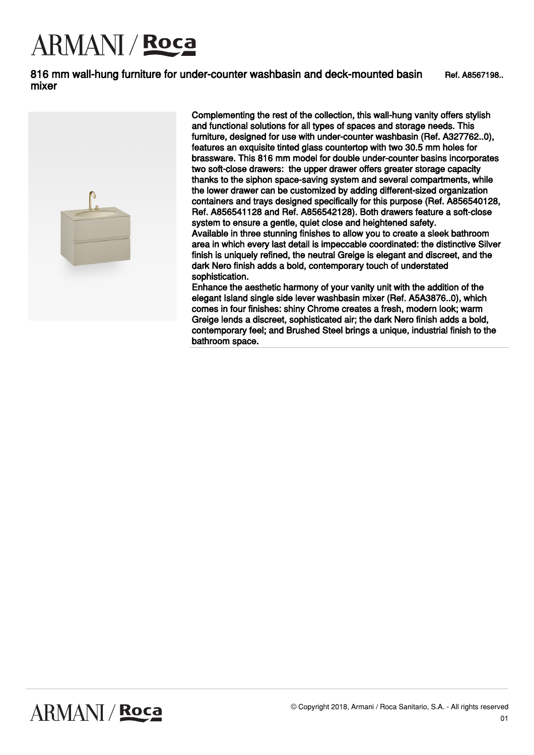816 mm wall-hung furniture for under-counter washbasin and deck-mounted basin mixer Ref. A8567198..



Complementing the rest of the collection, this wall-hung vanity offers stylish and functional solutions for all types of spaces and storage needs. This furniture, designed for use with under-counter washbasin (Ref. A327762..0), features an exquisite tinted glass countertop with two 30.5 mm holes for brassware. This 816 mm model for double under-counter basins incorporates two soft-close drawers: the upper drawer offers greater storage capacity thanks to the siphon space-saving system and several compartments, while the lower drawer can be customized by adding different-sized organization containers and trays designed specifically for this purpose (Ref. A856540128, Ref. A856541128 and Ref. A856542128). Both drawers feature a soft-close system to ensure a gentle, quiet close and heightened safety. Available in three stunning finishes to allow you to create a sleek bathroom area in which every last detail is impeccable coordinated: the distinctive Silver finish is uniquely refined, the neutral Greige is elegant and discreet, and the dark Nero finish adds a bold, contemporary touch of understated sophistication.

Enhance the aesthetic harmony of your vanity unit with the addition of the elegant Island single side lever washbasin mixer (Ref. A5A3876..0), which comes in four finishes: shiny Chrome creates a fresh, modern look; warm Greige lends a discreet, sophisticated air; the dark Nero finish adds a bold, contemporary feel; and Brushed Steel brings a unique, industrial finish to the bathroom space.

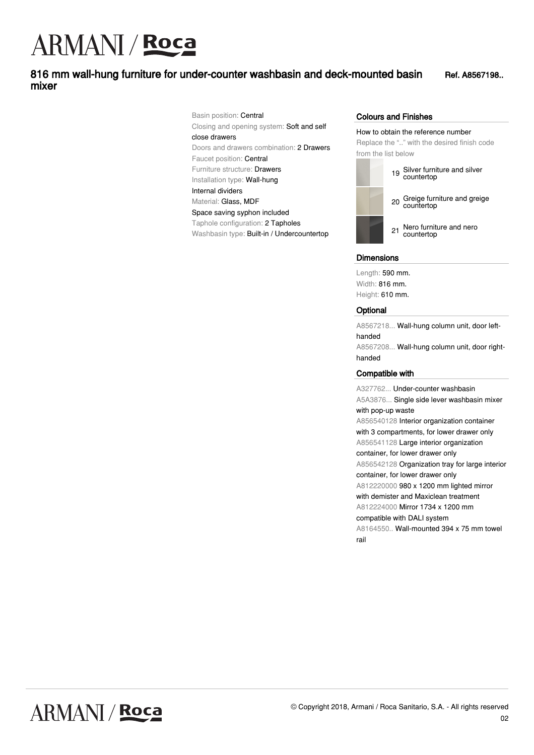### 816 mm wall-hung furniture for under-counter washbasin and deck-mounted basin mixer

Ref. A8567198..

Basin position: Central Closing and opening system: Soft and self close drawers Doors and drawers combination: 2 Drawers Faucet position: Central Furniture structure: Drawers Installation type: Wall-hung Internal dividers Material: Glass, MDF Space saving syphon included Taphole configuration: 2 Tapholes Washbasin type: Built-in / Undercountertop

#### Colours and Finishes

How to obtain the reference number

Replace the ".." with the desired finish code from the list below



<sup>19</sup> Silver furniture and silver countertop

<sup>20</sup> Greige furniture and greige countertop

<sup>21</sup> Nero furniture and nero countertop

#### **Dimensions**

Length: 590 mm. Width: 816 mm. Height: 610 mm.

#### **Optional**

rail

A8567218... Wall-hung column unit, door lefthanded A8567208... Wall-hung column unit, door righthanded

#### Compatible with

A327762... Under-counter washbasin A5A3876... Single side lever washbasin mixer with pop-up waste A856540128 Interior organization container with 3 compartments, for lower drawer only A856541128 Large interior organization container, for lower drawer only A856542128 Organization tray for large interior container, for lower drawer only A812220000 980 x 1200 mm lighted mirror with demister and Maxiclean treatment A812224000 Mirror 1734 x 1200 mm compatible with DALI system A8164550.. Wall-mounted 394 x 75 mm towel

**ARMANI / Roca**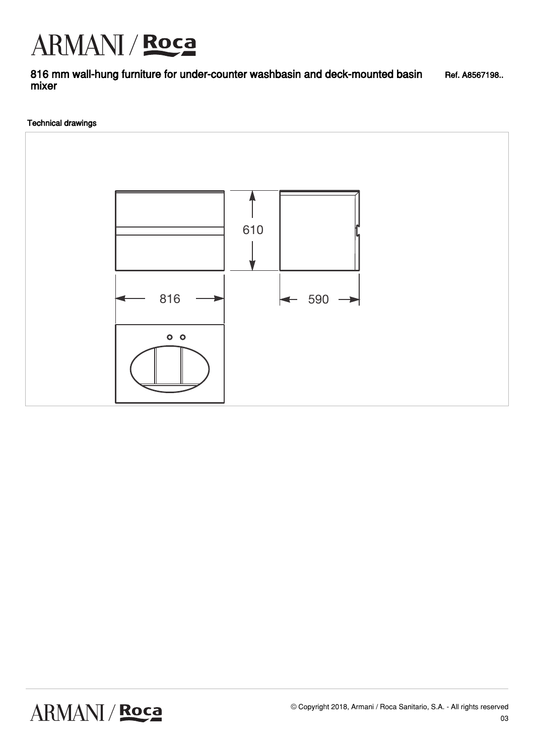816 mm wall-hung furniture for under-counter washbasin and deck-mounted basin mixer Ref. A8567198..

#### Technical drawings